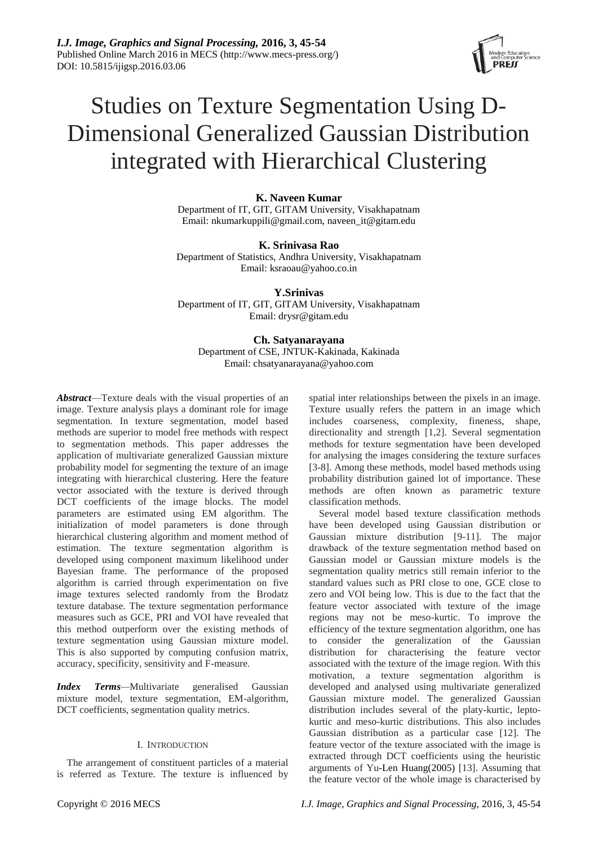

# Studies on Texture Segmentation Using D-Dimensional Generalized Gaussian Distribution integrated with Hierarchical Clustering

# **K. Naveen Kumar**

Department of IT, GIT, GITAM University, Visakhapatnam Email: nkumarkuppili@gmail.com, naveen\_it@gitam.edu

# **K. Srinivasa Rao**

Department of Statistics, Andhra University, Visakhapatnam Email: ksraoau@yahoo.co.in

**Y.Srinivas** Department of IT, GIT, GITAM University, Visakhapatnam Email: drysr@gitam.edu

# **Ch. Satyanarayana** Department of CSE, JNTUK-Kakinada, Kakinada Email: chsatyanarayana@yahoo.com

*Abstract*—Texture deals with the visual properties of an image. Texture analysis plays a dominant role for image segmentation. In texture segmentation, model based methods are superior to model free methods with respect to segmentation methods. This paper addresses the application of multivariate generalized Gaussian mixture probability model for segmenting the texture of an image integrating with hierarchical clustering. Here the feature vector associated with the texture is derived through DCT coefficients of the image blocks. The model parameters are estimated using EM algorithm. The initialization of model parameters is done through hierarchical clustering algorithm and moment method of estimation. The texture segmentation algorithm is developed using component maximum likelihood under Bayesian frame. The performance of the proposed algorithm is carried through experimentation on five image textures selected randomly from the Brodatz texture database. The texture segmentation performance measures such as GCE, PRI and VOI have revealed that this method outperform over the existing methods of texture segmentation using Gaussian mixture model. This is also supported by computing confusion matrix, accuracy, specificity, sensitivity and F-measure.

*Index Terms—*Multivariate generalised Gaussian mixture model, texture segmentation, EM-algorithm, DCT coefficients, segmentation quality metrics.

# I. INTRODUCTION

The arrangement of constituent particles of a material is referred as Texture. The texture is influenced by spatial inter relationships between the pixels in an image. Texture usually refers the pattern in an image which includes coarseness, complexity, fineness, shape, directionality and strength [1,2]. Several segmentation methods for texture segmentation have been developed for analysing the images considering the texture surfaces [3-8]. Among these methods, model based methods using probability distribution gained lot of importance. These methods are often known as parametric texture classification methods.

Several model based texture classification methods have been developed using Gaussian distribution or Gaussian mixture distribution [9-11]. The major drawback of the texture segmentation method based on Gaussian model or Gaussian mixture models is the segmentation quality metrics still remain inferior to the standard values such as PRI close to one, GCE close to zero and VOI being low. This is due to the fact that the feature vector associated with texture of the image regions may not be meso-kurtic. To improve the efficiency of the texture segmentation algorithm, one has to consider the generalization of the Gaussian distribution for characterising the feature vector associated with the texture of the image region. With this motivation, a texture segmentation algorithm is developed and analysed using multivariate generalized Gaussian mixture model. The generalized Gaussian distribution includes several of the platy-kurtic, leptokurtic and meso-kurtic distributions. This also includes Gaussian distribution as a particular case [12]. The feature vector of the texture associated with the image is extracted through DCT coefficients using the heuristic arguments of Yu-Len Huang(2005) [13]. Assuming that the feature vector of the whole image is characterised by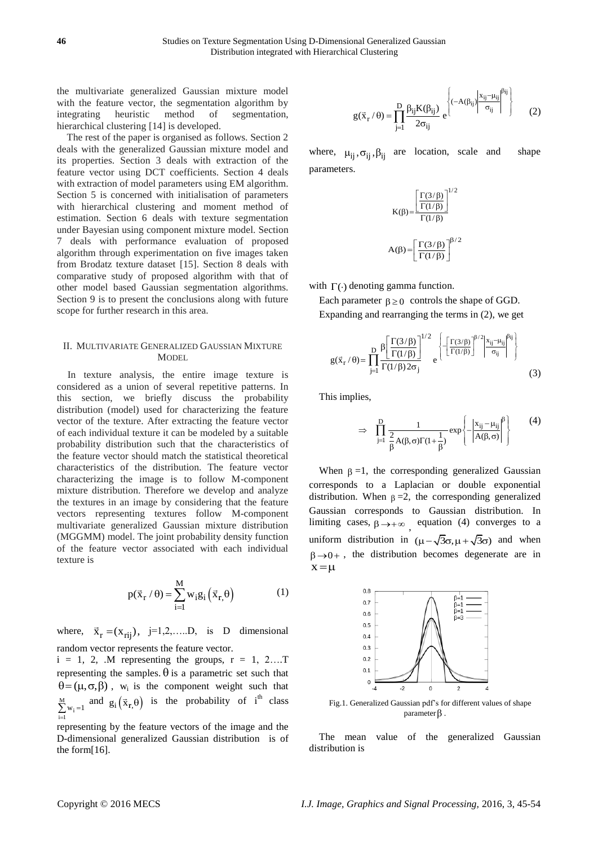the multivariate generalized Gaussian mixture model with the feature vector, the segmentation algorithm by integrating heuristic method of segmentation, hierarchical clustering [14] is developed.

The rest of the paper is organised as follows. Section 2 deals with the generalized Gaussian mixture model and its properties. Section 3 deals with extraction of the feature vector using DCT coefficients. Section 4 deals with extraction of model parameters using EM algorithm. Section 5 is concerned with initialisation of parameters with hierarchical clustering and moment method of estimation. Section 6 deals with texture segmentation under Bayesian using component mixture model. Section 7 deals with performance evaluation of proposed algorithm through experimentation on five images taken from Brodatz texture dataset [15]. Section 8 deals with comparative study of proposed algorithm with that of other model based Gaussian segmentation algorithms. Section 9 is to present the conclusions along with future scope for further research in this area.

### II. MULTIVARIATE GENERALIZED GAUSSIAN MIXTURE **MODEL**

In texture analysis, the entire image texture is considered as a union of several repetitive patterns. In this section, we briefly discuss the probability distribution (model) used for characterizing the feature vector of the texture. After extracting the feature vector of each individual texture it can be modeled by a suitable probability distribution such that the characteristics of the feature vector should match the statistical theoretical characteristics of the distribution. The feature vector characterizing the image is to follow M-component mixture distribution. Therefore we develop and analyze the textures in an image by considering that the feature vectors representing textures follow M-component multivariate generalized Gaussian mixture distribution (MGGMM) model. The joint probability density function of the feature vector associated with each individual texture is

$$
p(\vec{x}_r / \theta) = \sum_{i=1}^{M} w_i g_i(\vec{x}_r, \theta)
$$
 (1)

where,  $\vec{x}_r = (x_{rij})$ , j=1,2,.....D, is D dimensional random vector represents the feature vector.

 $i = 1, 2, \dots$  m representing the groups,  $r = 1, 2, \dots$ representing the samples.  $\theta$  is a parametric set such that  $\theta = (\mu, \sigma, \beta)$ , w<sub>i</sub> is the component weight such that M  $\sum_{i=1}$ <sup>W<sub>i</sub></sup>  $w_i = 1$  $\sum_{i=1}^{M} w_i = 1$  and  $g_i(\vec{x}_r, \theta)$  is the probability of i<sup>th</sup> class

representing by the feature vectors of the image and the D-dimensional generalized Gaussian distribution is of the form[16].

$$
g(\vec{x}_r \, / \, \theta) = \prod_{j=1}^D \frac{\beta_{ij} K(\beta_{ij})}{2 \sigma_{ij}} \, e^{\left\{(-A(\beta_{ij})\left|\frac{x_{ij} - \mu_{ij}}{\sigma_{ij}}\right|^{\beta_{ij}}\right\}} \qquad (2)
$$

where,  $\mu_{ij}, \sigma_{ij}, \beta_{ij}$  are location, scale and shape parameters.

$$
K(\beta) = \frac{\left[\frac{\Gamma(3/\beta)}{\Gamma(1/\beta)}\right]^{1/2}}{\Gamma(1/\beta)}
$$

$$
A(\beta) = \left[\frac{\Gamma(3/\beta)}{\Gamma(1/\beta)}\right]^{\beta/2}
$$

with  $\Gamma(\cdot)$  denoting gamma function.

Each parameter  $\beta \ge 0$  controls the shape of GGD. Expanding and rearranging the terms in (2), we get

$$
g(\vec{x}_r/\theta) = \prod_{j=1}^{D} \frac{\beta \left[ \frac{\Gamma(3/\beta)}{\Gamma(1/\beta)} \right]^{1/2}}{\Gamma(1/\beta) 2\sigma_j} e^{\left\{ -\left[ \frac{\Gamma(3/\beta)}{\Gamma(1/\beta)} \right]^{\beta/2} \left| \frac{x_{ij} - \mu_{ij}}{\sigma_{ij}} \right|^{\beta_{ij}} \right\}}
$$
(3)

This implies,

$$
\Rightarrow \prod_{j=1}^D \frac{1}{\frac{2}{\beta}A(\beta,\sigma)\Gamma(1+\frac{1}{\beta})}\exp\left\{-\left|\frac{x_{ij}-\mu_{ij}}{A(\beta,\sigma)}\right|^{\beta}\right\} \qquad \qquad (4)
$$

When  $\beta = 1$ , the corresponding generalized Gaussian corresponds to a Laplacian or double exponential distribution. When  $\beta = 2$ , the corresponding generalized Gaussian corresponds to Gaussian distribution. In limiting cases,  $\beta \rightarrow +\infty$ , equation (4) converges to a uniform distribution in  $(\mu - \sqrt{3}\sigma, \mu + \sqrt{3}\sigma)$  and when  $\beta \rightarrow 0^+$ , the distribution becomes degenerate are in  $x = \mu$ 



Fig.1. Generalized Gaussian pdf's for different values of shape  $parameter \beta$ .

The mean value of the generalized Gaussian distribution is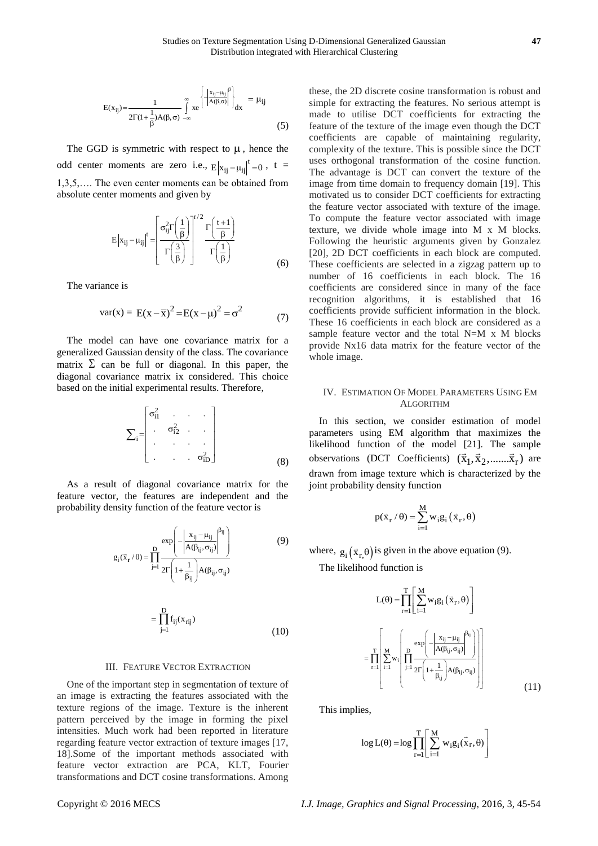$$
E(x_{ij}) = \frac{1}{2\Gamma(1+\frac{1}{\beta})A(\beta,\sigma)} \int_{-\infty}^{\infty} xe^{-\left{\left(\frac{\left|x_{ij}-\mu_{ij}\right|^\beta}{A(\beta,\sigma)}\right)}\right]} dx = \mu_{ij}
$$
(5)

The GGD is symmetric with respect to  $\mu$ , hence the odd center moments are zero i.e.,  $E |x_{ij} - \mu_{ij}|^t = 0$ ,  $t =$ 1,3,5,…. The even center moments can be obtained from absolute center moments and given by

$$
E\left|x_{ij} - \mu_{ij}\right|^{t} = \left[\frac{\sigma_{ij}^{2}\Gamma\left(\frac{1}{\beta}\right)}{\Gamma\left(\frac{3}{\beta}\right)}\right]^{r/2} \frac{\Gamma\left(\frac{t+1}{\beta}\right)}{\Gamma\left(\frac{1}{\beta}\right)}
$$
(6)

The variance is

var(x) = E(x - 
$$
\bar{x}
$$
)<sup>2</sup> = E(x -  $\mu$ )<sup>2</sup> =  $\sigma$ <sup>2</sup> (7)

The model can have one covariance matrix for a generalized Gaussian density of the class. The covariance matrix  $\Sigma$  can be full or diagonal. In this paper, the diagonal covariance matrix ix considered. This choice based on the initial experimental results. Therefore,

$$
\sum_{i} = \begin{bmatrix} \sigma_{i1}^{2} & \cdots & \cdots \\ \vdots & \sigma_{i2}^{2} & \cdots \\ \vdots & \ddots & \vdots \\ \vdots & \ddots & \vdots \\ \vdots & \ddots & \vdots \end{bmatrix}
$$
 (8)

As a result of diagonal covariance matrix for the feature vector, the features are independent and the probability density function of the feature vector is

$$
g_i(\vec{x}_r/\theta) = \prod_{j=1}^{p} \frac{\exp\left(-\left|\frac{x_{ij} - \mu_{ij}}{A(\beta_{ij}, \sigma_{ij})}\right|^{\beta_{ij}}\right)}{2\Gamma\left(1 + \frac{1}{\beta_{ij}}\right)A(\beta_{ij}, \sigma_{ij})}
$$
(9)

$$
= \prod_{j=1}^{D} f_{ij}(x_{rij})
$$
\n(10)

#### III. FEATURE VECTOR EXTRACTION

One of the important step in segmentation of texture of an image is extracting the features associated with the texture regions of the image. Texture is the inherent pattern perceived by the image in forming the pixel intensities. Much work had been reported in literature regarding feature vector extraction of texture images [17, 18].Some of the important methods associated with feature vector extraction are PCA, KLT, Fourier transformations and DCT cosine transformations. Among these, the 2D discrete cosine transformation is robust and simple for extracting the features. No serious attempt is made to utilise DCT coefficients for extracting the feature of the texture of the image even though the DCT coefficients are capable of maintaining regularity, complexity of the texture. This is possible since the DCT uses orthogonal transformation of the cosine function. The advantage is DCT can convert the texture of the image from time domain to frequency domain [19]. This motivated us to consider DCT coefficients for extracting the feature vector associated with texture of the image. To compute the feature vector associated with image texture, we divide whole image into M x M blocks. Following the heuristic arguments given by Gonzalez [20], 2D DCT coefficients in each block are computed. These coefficients are selected in a zigzag pattern up to number of 16 coefficients in each block. The 16 coefficients are considered since in many of the face recognition algorithms, it is established that 16 coefficients provide sufficient information in the block. These 16 coefficients in each block are considered as a sample feature vector and the total N=M x M blocks provide Nx16 data matrix for the feature vector of the whole image.

#### IV. ESTIMATION OF MODEL PARAMETERS USING EM ALGORITHM

In this section, we consider estimation of model parameters using EM algorithm that maximizes the likelihood function of the model [21]. The sample observations (DCT Coefficients)  $(\vec{x}_1, \vec{x}_2, \dots, \vec{x}_r)$  are drawn from image texture which is characterized by the joint probability density function

$$
p(\vec{x}_r/\theta) = \sum_{i=1}^{M} w_i g_i(\vec{x}_r, \theta)
$$

where,  $g_i(\vec{x}_r, \theta)$  is given in the above equation (9).

The likelihood function is

$$
L(\theta) = \prod_{r=1}^{T} \left[ \sum_{i=1}^{M} w_i g_i (\vec{x}_r, \theta) \right]
$$

$$
= \prod_{r=1}^{T} \left[ \sum_{i=1}^{M} w_i \left( \prod_{j=1}^{P} \frac{\exp \left( -\left| \frac{x_{ij} - \mu_{ij}}{A(\beta_{ij}, \sigma_{ij})} \right|^\beta \right)}{\sum_{j=1}^{P} 2\Gamma \left( 1 + \frac{1}{\beta_{ij}} \right) A(\beta_{ij}, \sigma_{ij})} \right) \right]
$$
(11)

This implies,

$$
\log L(\theta) = \log \prod_{r=1}^{T} \left[ \sum_{i=1}^{M} w_i g_i(\vec{x}_r, \theta) \right]
$$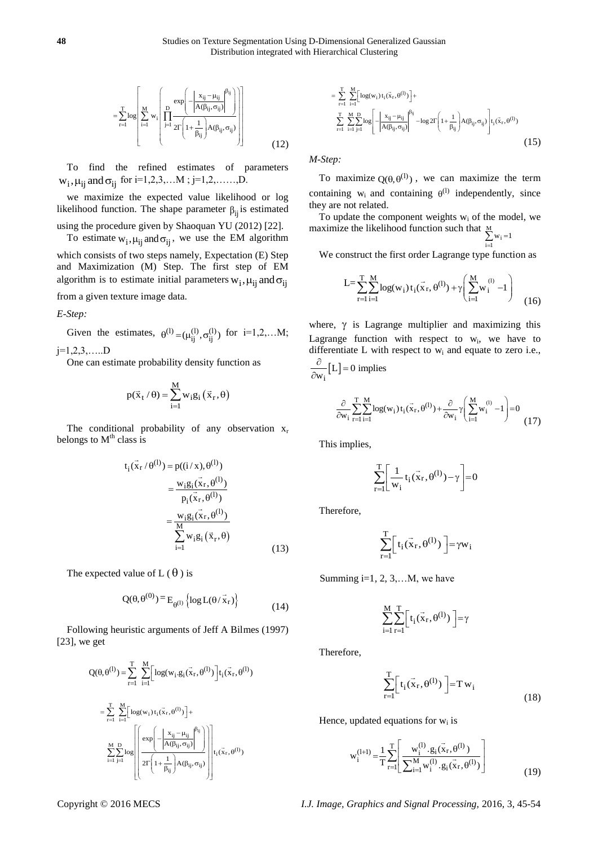**48** Studies on Texture Segmentation Using D-Dimensional Generalized Gaussian Distribution integrated with Hierarchical Clustering

$$
= \sum_{r=1}^{T} \log \left[ \sum_{i=1}^{M} w_i \left( \prod_{j=1}^{D} \frac{\exp \left( -\left| \frac{x_{ij} - \mu_{ij}}{A(\beta_{ij}, \sigma_{ij})} \right|^{\beta_{ij}} \right)}{\exp \left( 1 + \frac{1}{\beta_{ij}} \right) A(\beta_{ij}, \sigma_{ij})} \right) \right]
$$
(12)

To find the refined estimates of parameters  $w_i$ ,  $\mu_{ij}$  and  $\sigma_{ij}$  for i=1,2,3,...M ; j=1,2,......,D.

we maximize the expected value likelihood or log likelihood function. The shape parameter  $\beta_{ij}$  is estimated using the procedure given by Shaoquan YU (2012) [22].

To estimate  $w_i$ ,  $\mu_{ij}$  and  $\sigma_{ij}$ , we use the EM algorithm

which consists of two steps namely, Expectation (E) Step and Maximization (M) Step. The first step of EM algorithm is to estimate initial parameters  $w_i$ ,  $\mu_{ij}$  and  $\sigma_{ij}$ 

from a given texture image data.

*E-Step:*

Given the estimates, 
$$
\theta^{(1)} = (\mu_{ij}^{(1)}, \sigma_{ij}^{(1)})
$$
 for i=1,2,...M;  
i=1,2,3,...,D

One can estimate probability density function as

$$
p(\vec{x}_t/\theta) = \sum_{i=1}^{M} w_i g_i(\vec{x}_r, \theta)
$$

The conditional probability of any observation  $x_r$ belongs to  $M<sup>th</sup>$  class is

$$
t_i(\vec{x}_r/\theta^{(1)}) = p((i/x), \theta^{(1)})
$$
  

$$
= \frac{w_i g_i(\vec{x}_r, \theta^{(1)})}{p_i(\vec{x}_r, \theta^{(1)})}
$$
  

$$
= \frac{w_i g_i(\vec{x}_r, \theta^{(1)})}{\sum_{i=1}^{M} w_i g_i(\vec{x}_r, \theta)}
$$
 (13)

The expected value of  $L(\theta)$  is

$$
Q(\theta, \theta^{(0)}) = E_{\theta^{(1)}} \left\{ \log L(\theta / \vec{x}_r) \right\} \tag{14}
$$

Following heuristic arguments of Jeff A Bilmes (1997) [23], we get

$$
Q(\theta, \theta^{(1)}) = \sum_{r=1}^{T} \sum_{i=1}^{M} \left[ \log(w_i g_i(\vec{x}_r, \theta^{(1)}) \right] t_i(\vec{x}_r, \theta^{(1)})
$$

$$
= \sum_{r=1}^{T} \sum_{i=1}^{M} \left[ \log(w_i) t_i(\vec{x}_r, \theta^{(1)}) \right] + \sum_{i=1}^{M} \sum_{j=1}^{D} \log \left( \frac{\exp \left( -\left| \frac{x_{ij} - \mu_{ij}}{A(\beta_{ij}, \sigma_{ij})} \right| \right)}{2\Gamma \left( 1 + \frac{1}{\beta_{ij}} \right) A(\beta_{ij}, \sigma_{ij})} \right) \right] t_i(\vec{x}_r, \theta^{(1)})
$$

$$
= \sum_{r=1}^{T} \sum_{i=1}^{M} \left[ \log(w_{i}) t_{i}(\vec{x}_{r}, \theta^{(i)}) \right] +
$$
  

$$
\sum_{r=1}^{T} \sum_{i=1}^{M} \sum_{j=1}^{D} \log \left[ -\left| \frac{x_{ij} - \mu_{ij}}{A(\beta_{ij}, \sigma_{ij})} \right|^{\beta_{ij}} - \log 2 \Gamma \left( 1 + \frac{1}{\beta_{ij}} \right) A(\beta_{ij}, \sigma_{ij}) \right] t_{i}(\vec{x}_{r}, \theta^{(1)})
$$
(15)

*M-Step:*

To maximize  $Q(\theta, \theta^{(1)})$ , we can maximize the term containing  $w_i$  and containing  $\theta^{(1)}$  independently, since they are not related.

To update the component weights  $w_i$  of the model, we maximize the likelihood function such that M  $\sum w_i = 1$ 

 $i = 1$  $=1$ We construct the first order Lagrange type function as

$$
L = \sum_{r=1}^{T} \sum_{i=1}^{M} \log(w_i) t_i(\vec{x}_r, \theta^{(l)}) + \gamma \left( \sum_{i=1}^{M} w_i^{(l)} - 1 \right)
$$
(16)

where,  $\gamma$  is Lagrange multiplier and maximizing this Lagrange function with respect to  $w_i$ , we have to differentiate L with respect to  $w_i$  and equate to zero i.e.,  $\partial$  [L] = 0 implies

$$
\frac{\partial}{\partial w_i} [L] = 0 \text{ implies}
$$
\n
$$
\frac{\partial}{\partial w_i} \sum_{r=1}^{T} \sum_{i=1}^{M} \log(w_i) t_i(\vec{x}_r, \theta^{(1)}) + \frac{\partial}{\partial w_i} \gamma \left(\sum_{i=1}^{M} w_i^{(1)} - 1\right) = 0 \tag{17}
$$

This implies,

$$
\sum_{r=1}^T\!\!\left[\frac{1}{w_i}t_i(\stackrel{\rightarrow}{x}_r,\theta^{(l)})\!-\!\gamma\right]\!\!=\!\!0
$$

Therefore,

$$
\sum_{r=l}^T \!\! \left[ \, t_i(\vec{x}_r,\theta^{(l)}) \, \, \right] \! \! = \! \gamma w_i
$$

Summing i=1, 2,  $3,...M$ , we have

$$
\sum_{i=l}^M \sum_{r=l}^T \! \left[ \, t_i(\stackrel{\rightarrow}{x}_r, \theta^{(l)}) \, \, \right] \! \! = \! \gamma
$$

Therefore,

$$
\sum_{r=1}^{T} \left[ t_i(\vec{x}_r, \theta^{(1)}) \right] = T w_i
$$
\n(18)

Hence, updated equations for  $w_i$  is

$$
w_i^{(l+1)} = \frac{1}{T} \sum_{r=1}^{T} \left[ \frac{w_i^{(l)} \cdot g_i(\vec{x}_r, \theta^{(l)})}{\sum_{i=1}^{M} w_i^{(l)} \cdot g_i(\vec{x}_r, \theta^{(l)})} \right]
$$
(19)

Copyright © 2016 MECS *I.J. Image, Graphics and Signal Processing,* 2016, 3, 45-54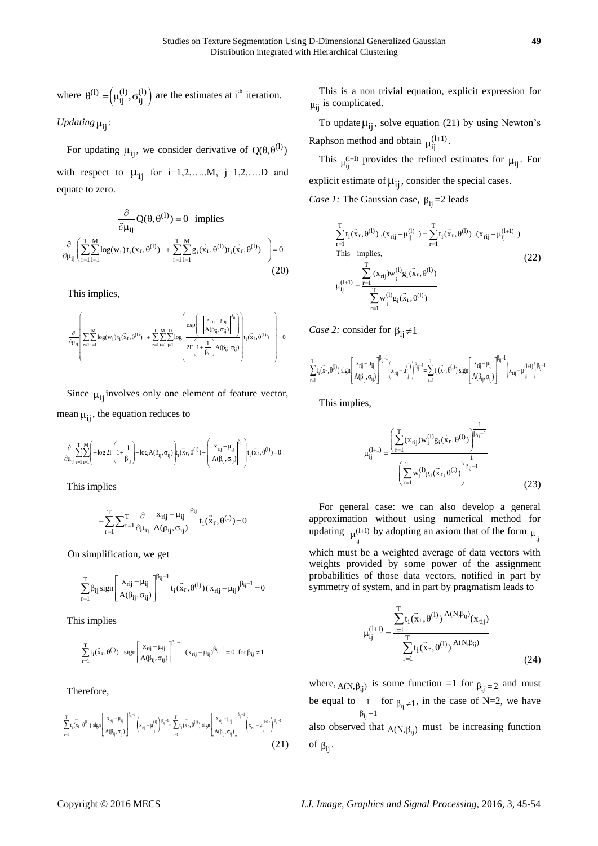where  $\theta^{(1)} = (\mu_{ij}^{(1)}, \sigma_{ij}^{(1)})$  are the estimates at i<sup>th</sup> iteration. *Updating*<sub>µij</sub>:

For updating  $\mu_{ij}$ , we consider derivative of  $Q(\theta, \theta^{(1)})$ with respect to  $\mu_{ij}$  for i=1,2,.....M, j=1,2,....D and equate to zero.

$$
\frac{\partial}{\partial \mu_{ij}} Q(\theta, \theta^{(1)}) = 0 \text{ implies}
$$
\n
$$
\frac{\partial}{\partial \mu_{ij}} \left( \sum_{r=1}^{T} \sum_{i=1}^{M} \log(w_i) t_i(\vec{x}_r, \theta^{(1)}) + \sum_{r=1}^{T} \sum_{i=1}^{M} g_i(\vec{x}_r, \theta^{(1)}) t_i(\vec{x}_r, \theta^{(1)}) \right) = 0
$$
\n(20)

This implies,

This implies,  
\n
$$
\frac{\partial}{\partial \mu_{ij}}\left[\sum_{r=1}^{T} \sum_{i=1}^{M} \log(w_i) t_i(\vec{x}_r, \theta^{(l)}) + \sum_{r=1}^{T} \sum_{i=1}^{M} \sum_{j=1}^{D} \log \left(\frac{\exp \left(-\left|\frac{x_{rij} - \mu_{ij}}{A(\beta_{ij}, \sigma_{ij})}\right|^{\beta_{ij}}\right)}{2\Gamma\left(1 + \frac{1}{\beta_{ij}}\right)A(\beta_{ij}, \sigma_{ij})}\right)\right] t_i(\vec{x}_r, \theta^{(l)})\right] = 0
$$
\n
$$
\sum_{\tau=1}^{T} \sum_{i=1}^{M} \log \left(\frac{x_i - \mu_{ij} \beta_{ij}}{2\Gamma\left(1 + \frac{1}{\beta_{ij}}\right)A(\beta_{ij}, \sigma_{ij})}\right) t_i(\vec{x}_r, \theta^{(l)})
$$

Since  $\mu_{ij}$  involves only one element of feature vector,

mean 
$$
\mu_{ij}
$$
, the equation reduces to  
\n
$$
\frac{\partial}{\partial \mu_{ij}} \sum_{r=1}^{T} \sum_{i=1}^{M} \left( -\log 2\Gamma \left( 1 + \frac{1}{\beta_{ij}} \right) - \log A(\beta_{ij}, \sigma_{ij}) \right) i_i(\vec{x}_r, \theta^{(1)}) - \left( \left| \frac{x_{rij} - \mu_{ij}}{A(\beta_{ij}, \sigma_{ij})} \right|^{\beta_{ij}} \right) i_i(\vec{x}_r, \theta^{(1)}) = 0
$$

This implies

$$
-\displaystyle\sum_{r=1}^T\displaystyle\sum_{r=1}^T\frac{\partial}{\partial \mu_{ij}}\left|\frac{x_{rij}-\mu_{ij}}{A(\rho_{ij},\sigma_{ij})}\right|^{\rho_{ij}}t_i(\vec{x}_r,\theta^{(l)})\!=\!0
$$

On simplification, we get

$$
\sum_{r=1}^{T} \beta_{ij} sign \left[ \frac{x_{rij} - \mu_{ij}}{A(\beta_{ij}, \sigma_{ij})} \right]^{\beta_{ij} - 1} t_i(\vec{x}_r, \theta^{(1)})(x_{rij} - \mu_{ij})^{\beta_{ij} - 1} = 0
$$

This implies

$$
\sum_{r=1}^{T} t_i(\vec{x}_r, \theta^{(1)}) \text{ sign } \left[ \frac{x_{rij} - \mu_{ij}}{A(\beta_{ij}, \sigma_{ij})} \right]^{\beta_{ij} - 1} . (x_{rij} - \mu_{ij})^{\beta_{ij} - 1} = 0 \text{ for } \beta_{ij} \neq 1
$$

Therefore,

Therefore,  
\n
$$
\sum_{r=1}^{T} t_r(\vec{x}_r, \theta^{(1)}) \text{ sign } \left[ \frac{x_{rij} - \mu_{ij}}{A(\beta_{ij}, \sigma_{ij})} \right]^{\beta_{ij} - 1} \left( x_{rij} - \mu_{ij}^{(1)} \right)^{\beta_{ij} - 1} = \sum_{r=1}^{T} t_r(\vec{x}_r, \theta^{(1)}) \text{ sign } \left[ \frac{x_{rij} - \mu_{ij}}{A(\beta_{ij}, \sigma_{ij})} \right]^{\beta_{ij} - 1} \left( x_{rij} - \mu_{ij}^{(1+1)} \right)^{\beta_{ij} - 1}
$$
\n(21)

This is a non trivial equation, explicit expression for  $\mu_{ij}$  is complicated.

To update  $\mu_{ij}$ , solve equation (21) by using Newton's Raphson method and obtain  $\mu_{ii}^{(l+1)}$ ij  $\mu_{ii}^{(l+1)}$ .

This  $\mu_{ij}^{(l+1)}$  provides the refined estimates for  $\mu_{ij}$ . For explicit estimate of  $\mu_{ij}$ , consider the special cases.

Case 1: The Gaussian case, 
$$
\beta_{ij} = 2
$$
 leads  
\n
$$
\sum_{r=1}^{T} t_i(\vec{x}_r, \theta^{(1)}) \cdot (x_{rij} - \mu_{ij}^{(1)}) = \sum_{r=1}^{T} t_i(\vec{x}_r, \theta^{(1)}) \cdot (x_{rij} - \mu_{ij}^{(1+1)})
$$
\nThis implies,\n
$$
\mu_{ij}^{(1+1)} = \frac{\sum_{r=1}^{T} (x_{rij}) w_i^{(1)} g_i(\vec{x}_r, \theta^{(1)})}{\sum_{r=1}^{T} w_i^{(1)} g_i(\vec{x}_r, \theta^{(1)})}
$$
\n(22)

Case 2: consider for 
$$
\beta_{ij} \neq 1
$$
  
\n
$$
\sum_{r=1}^{T} t_i(\vec{x}_r, \theta^{(1)}) \operatorname{sign} \left[ \frac{x_{rij} - \mu_{ij}}{A(\beta_{ij}, \sigma_{ij})} \right]^{\beta_{ij} - 1} = \sum_{r=1}^{T} t_i(\vec{x}_r, \theta^{(1)}) \operatorname{sign} \left[ \frac{x_{rij} - \mu_{ij}}{A(\beta_{ij}, \sigma_{ij})} \right]^{\beta_{ij} - 1} \left( x_{rij} - \mu_{ij}^{(l+1)} \right)^{\beta_{ij} - 1}
$$

This implies,

$$
\mu_{ij}^{(l+1)} = \frac{\left(\sum\limits_{r=1}^{T} (x_{tij}) w_i^{(l)} g_i(\vec{x}_r, \theta^{(l)})\right)^{\overline{\beta_{ij}-1}}}{\left(\sum\limits_{r=1}^{T} w_i^{(l)} g_i(\vec{x}_r, \theta^{(l)})\right)^{\overline{\beta_{ij}-1}}}
$$
(23)

For general case: we can also develop a general approximation without using numerical method for updating  $\mu_{ii}^{(l+1)}$  by adopting an axiom that of the form  $\mu_{ii}$ ij

which must be a weighted average of data vectors with weights provided by some power of the assignment probabilities of those data vectors, notified in part by symmetry of system, and in part by pragmatism leads to

$$
\mu_{ij}^{(l+1)} = \frac{\sum_{r=1}^{T} t_i(\vec{x}_r, \theta^{(l)})^{A(N, \beta_{ij})}(x_{tij})}{\sum_{r=1}^{T} t_i(\vec{x}_r, \theta^{(l)})^{A(N, \beta_{ij})}}
$$
(24)

where,  $A(N, \beta_{ij})$  is some function =1 for  $\beta_{ij} = 2$  and must be equal to  $\frac{1}{\sqrt{2}}$  for  $\beta_{ij} \neq 1$ , in the case of N=2, we have  $\beta_{ij}$  – 1 also observed that  $A(N, \beta_{ij})$  must be increasing function of  $\beta_{ij}$ .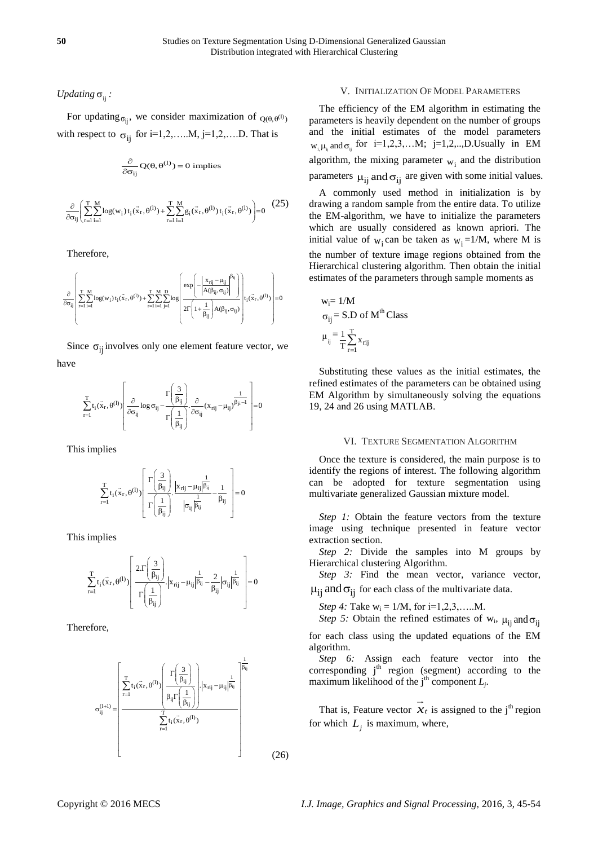*Updating* σ<sub>ij</sub> :

For updating  $\sigma_{ij}$ , we consider maximization of  $Q(\theta, \theta^{(1)})$ with respect to  $\sigma_{ij}$  for i=1,2,.....M, j=1,2,....D. That is

$$
\frac{\partial}{\partial \sigma_{ij}} Q(\theta, \theta^{(1)}) = 0 \text{ implies}
$$

$$
\frac{\partial}{\partial \sigma_{ij}} \left( \sum_{r=1}^{T} \sum_{i=1}^{M} \log(w_i) t_i(\vec{x}_r, \theta^{(l)}) + \sum_{r=1}^{T} \sum_{i=1}^{M} g_i(\vec{x}_r, \theta^{(l)}) t_i(\vec{x}_r, \theta^{(l)}) \right) = 0 \quad (25)
$$

Therefore,

ij rij ij T M T M D ij ij (l) (l) r r i i i ij r 1 i 1 r 1 i 1 j 1 ij ij ij x exp A( , ) log(w ) t (x , ) log t (x , ) 0 1 2 1 A( , ) 

Since  $\sigma_{ij}$  involves only one element feature vector, we have

$$
\sum_{r=1}^T t_i(\vec{x}_r,\theta^{(l)})\left[\frac{\partial}{\partial \sigma_{ij}}\mathrm{log}\,\sigma_{ij} \!-\! \frac{\Gamma\!\left(\frac{3}{\beta_{ij}}\right)}{\Gamma\!\left(\frac{1}{\beta_{ij}}\right)}\!\cdot\! \frac{\partial}{\partial \sigma_{ij}}(x_{rij} \!-\! \mu_{ij})^{\overline{\beta_{ji} \!-\! 1}}\right]\!\!=\!\!0
$$

This implies

$$
\sum_{r=1}^Tt_i(\vec{x}_r,\theta^{(l)})\left[\frac{\Gamma\!\left(\frac{3}{\beta_{ij}}\right)}{\Gamma\!\left(\frac{1}{\beta_{ij}}\right)}\!\cdot\!\frac{\left|x_{rij}-\mu_{ij}\right|\!\frac{1}{\beta_{ij}}}{\left|\sigma_{ij}\right|\!\frac{1}{\beta_{ij}}-\frac{1}{\beta_{ij}}}\right]\!\!=\!0
$$

This implies

$$
\sum_{r=1}^{T} t_i(\vec{x}_r, \theta^{(1)}) \left[\frac{2\Gamma\left(\frac{3}{\beta_{ij}}\right)}{\Gamma\left(\frac{1}{\beta_{ij}}\right)} | x_{rij} - \mu_{ij}| \overline{\beta_{ij}} - \frac{2}{\beta_{ij}} \Big| \sigma_{ij} \Big| \overline{\beta_{ij}} \right] = 0
$$

Therefore,



#### V. INITIALIZATION OF MODEL PARAMETERS

The efficiency of the EM algorithm in estimating the parameters is heavily dependent on the number of groups and the initial estimates of the model parameters  $w_{i,\mu_{ij}}$  and  $\sigma_{ij}$  for i=1,2,3,...M; j=1,2,..,D.Usually in EM algorithm, the mixing parameter  $w_i$  and the distribution parameters  $\mu_{ij}$  and  $\sigma_{ij}$  are given with some initial values.

A commonly used method in initialization is by drawing a random sample from the entire data. To utilize the EM-algorithm, we have to initialize the parameters which are usually considered as known apriori. The initial value of  $w_i$  can be taken as  $w_i = 1/M$ , where M is the number of texture image regions obtained from the Hierarchical clustering algorithm. Then obtain the initial estimates of the parameters through sample moments as

$$
w_i = 1/M
$$
  
\n
$$
\sigma_{ij} = S.D \text{ of } M^{\text{th}} \text{ Class}
$$
  
\n
$$
\mu_{ij} = \frac{1}{T} \sum_{r=1}^{T} x_{rij}
$$

Substituting these values as the initial estimates, the refined estimates of the parameters can be obtained using EM Algorithm by simultaneously solving the equations 19, 24 and 26 using MATLAB.

#### VI. TEXTURE SEGMENTATION ALGORITHM

Once the texture is considered, the main purpose is to identify the regions of interest. The following algorithm can be adopted for texture segmentation using multivariate generalized Gaussian mixture model.

*Step 1:* Obtain the feature vectors from the texture image using technique presented in feature vector extraction section.

*Step 2:* Divide the samples into M groups by Hierarchical clustering Algorithm.

*Step 3:* Find the mean vector, variance vector,  $\mu_{ij}$  and  $\sigma_{ij}$  for each class of the multivariate data.

*Step 4:* Take  $w_i = 1/M$ , for  $i=1,2,3,...,M$ .

algorithm.

*Step 5:* Obtain the refined estimates of  $w_i$ ,  $\mu_{ij}$  and  $\sigma_{ij}$ for each class using the updated equations of the EM

*Step 6:* Assign each feature vector into the corresponding  $j<sup>th</sup>$  region (segment) according to the maximum likelihood of the j<sup>th</sup> component  $L_j$ .

That is, Feature vector  $\overrightarrow{x_t}$  is assigned to the j<sup>th</sup> region for which  $L_j$  is maximum, where,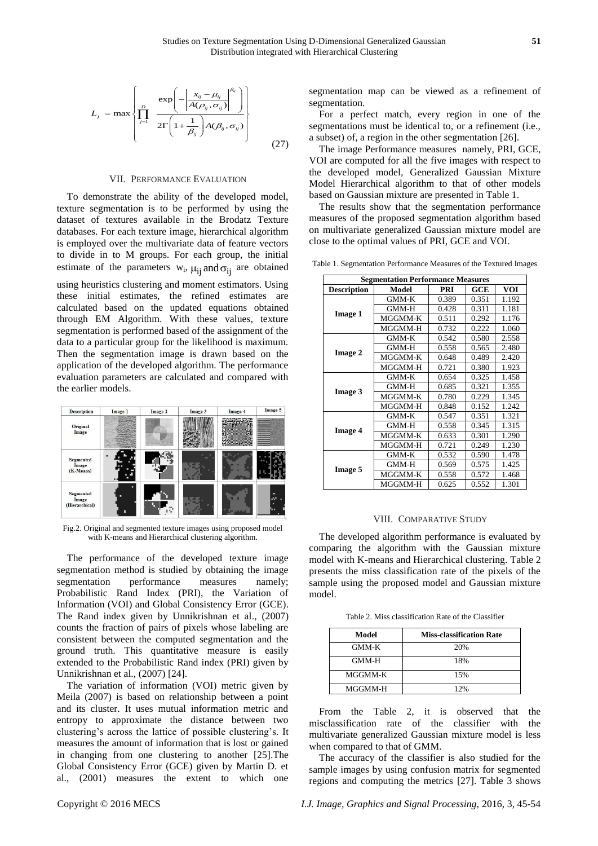$$
L_j = \max \left\{ \prod_{j=1}^{D} \frac{\exp\left(-\left|\frac{x_{ij} - \mu_{ij}}{A(\rho_{ij}, \sigma_{ij})}\right|^{\beta_{ij}}\right)}{2\Gamma\left(1 + \frac{1}{\beta_{ij}}\right)A(\beta_{ij}, \sigma_{ij})} \right\}
$$
(27)

#### VII. PERFORMANCE EVALUATION

To demonstrate the ability of the developed model, texture segmentation is to be performed by using the dataset of textures available in the Brodatz Texture databases. For each texture image, hierarchical algorithm is employed over the multivariate data of feature vectors to divide in to M groups. For each group, the initial estimate of the parameters  $w_i$ ,  $\mu_{ij}$  and  $\sigma_{ij}$  are obtained using heuristics clustering and moment estimators. Using these initial estimates, the refined estimates are calculated based on the updated equations obtained through EM Algorithm. With these values, texture segmentation is performed based of the assignment of the data to a particular group for the likelihood is maximum. Then the segmentation image is drawn based on the application of the developed algorithm. The performance evaluation parameters are calculated and compared with the earlier models.



Fig.2. Original and segmented texture images using proposed model with K-means and Hierarchical clustering algorithm.

The performance of the developed texture image segmentation method is studied by obtaining the image segmentation performance measures namely: Probabilistic Rand Index (PRI), the Variation of Information (VOI) and Global Consistency Error (GCE). The Rand index given by Unnikrishnan et al., (2007) counts the fraction of pairs of pixels whose labeling are consistent between the computed segmentation and the ground truth. This quantitative measure is easily extended to the Probabilistic Rand index (PRI) given by Unnikrishnan et al., (2007) [24].

The variation of information (VOI) metric given by Meila (2007) is based on relationship between a point and its cluster. It uses mutual information metric and entropy to approximate the distance between two clustering's across the lattice of possible clustering's. It measures the amount of information that is lost or gained in changing from one clustering to another [25].The Global Consistency Error (GCE) given by Martin D. et al., (2001) measures the extent to which one segmentation map can be viewed as a refinement of segmentation.

For a perfect match, every region in one of the segmentations must be identical to, or a refinement (i.e., a subset) of, a region in the other segmentation [26].

The image Performance measures namely, PRI, GCE, VOI are computed for all the five images with respect to the developed model, Generalized Gaussian Mixture Model Hierarchical algorithm to that of other models based on Gaussian mixture are presented in Table 1.

The results show that the segmentation performance measures of the proposed segmentation algorithm based on multivariate generalized Gaussian mixture model are close to the optimal values of PRI, GCE and VOI.

Table 1. Segmentation Performance Measures of the Textured Images

| <b>Segmentation Performance Measures</b> |                  |            |       |            |  |  |  |  |  |
|------------------------------------------|------------------|------------|-------|------------|--|--|--|--|--|
| <b>Description</b>                       | Model            | <b>PRI</b> |       | <b>VOI</b> |  |  |  |  |  |
|                                          | $GMM-K$          | 0.389      | 0.351 | 1.192      |  |  |  |  |  |
|                                          | GMM-H            | 0.428      | 0.311 | 1.181      |  |  |  |  |  |
| <b>Image 1</b>                           | MGGMM-K          | 0.511      | 0.292 | 1.176      |  |  |  |  |  |
|                                          | MGGMM-H          | 0.732      | 0.222 | 1.060      |  |  |  |  |  |
|                                          | GMM-K            | 0.542      | 0.580 | 2.558      |  |  |  |  |  |
|                                          | GMM-H            | 0.558      | 0.565 | 2.480      |  |  |  |  |  |
| <b>Image 2</b>                           | MGGMM-K<br>0.648 |            | 0.489 | 2.420      |  |  |  |  |  |
|                                          | MGGMM-H          | 0.721      | 0.380 | 1.923      |  |  |  |  |  |
|                                          | $GMM-K$          | 0.654      | 0.325 | 1.458      |  |  |  |  |  |
|                                          | GMM-H            | 0.685      | 0.321 | 1.355      |  |  |  |  |  |
| <b>Image 3</b>                           | MGGMM-K          | 0.780      | 0.229 | 1.345      |  |  |  |  |  |
|                                          | MGGMM-H          | 0.848      | 0.152 | 1.242      |  |  |  |  |  |
|                                          | $GMM-K$          | 0.547      | 0.351 | 1.321      |  |  |  |  |  |
|                                          | <b>GMM-H</b>     | 0.558      | 0.345 | 1.315      |  |  |  |  |  |
| <b>Image 4</b>                           | MGGMM-K          | 0.633      | 0.301 | 1.290      |  |  |  |  |  |
|                                          | MGGMM-H          | 0.721      | 0.249 | 1.230      |  |  |  |  |  |
|                                          | GMM-K            | 0.532      | 0.590 | 1.478      |  |  |  |  |  |
|                                          | GMM-H            | 0.569      | 0.575 | 1.425      |  |  |  |  |  |
| <b>Image 5</b>                           | MGGMM-K          | 0.558      | 0.572 | 1.468      |  |  |  |  |  |
|                                          | MGGMM-H          | 0.625      | 0.552 | 1.301      |  |  |  |  |  |

#### VIII. COMPARATIVE STUDY

The developed algorithm performance is evaluated by comparing the algorithm with the Gaussian mixture model with K-means and Hierarchical clustering. Table 2 presents the miss classification rate of the pixels of the sample using the proposed model and Gaussian mixture model.

Table 2. Miss classification Rate of the Classifier

| Model        | <b>Miss-classification Rate</b> |  |  |  |
|--------------|---------------------------------|--|--|--|
| $GMM-K$      | 20%                             |  |  |  |
| <b>GMM-H</b> | 18%                             |  |  |  |
| MGGMM-K      | 15%                             |  |  |  |
| MGGMM-H      | 12%                             |  |  |  |

From the Table 2, it is observed that the misclassification rate of the classifier with the multivariate generalized Gaussian mixture model is less when compared to that of GMM.

The accuracy of the classifier is also studied for the sample images by using confusion matrix for segmented regions and computing the metrics [27]. Table 3 shows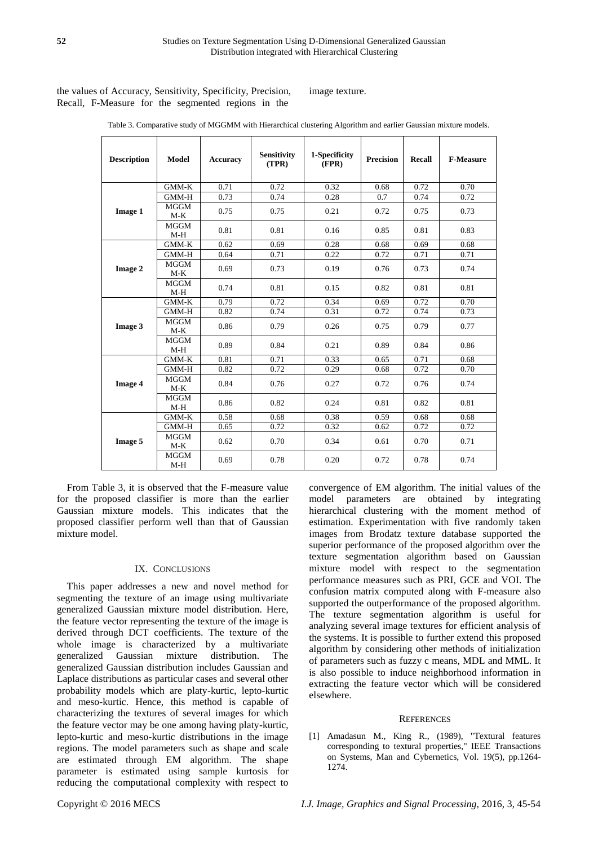the values of Accuracy, Sensitivity, Specificity, Precision, Recall, F-Measure for the segmented regions in the

image texture.

| <b>Description</b> | <b>Model</b>         | <b>Accuracy</b> | <b>Sensitivity</b><br>(TPR) | 1-Specificity<br>(FPR) | <b>Precision</b> | <b>Recall</b> | <b>F-Measure</b> |
|--------------------|----------------------|-----------------|-----------------------------|------------------------|------------------|---------------|------------------|
| Image 1            | GMM-K                | 0.71            | 0.72                        | 0.32                   | 0.68             | 0.72          | 0.70             |
|                    | <b>GMM-H</b>         | 0.73            | 0.74                        | 0.28                   | 0.7              | 0.74          | 0.72             |
|                    | <b>MGGM</b><br>$M-K$ | 0.75            | 0.75                        | 0.21                   | 0.72             | 0.75          | 0.73             |
|                    | <b>MGGM</b><br>$M-H$ | 0.81            | 0.81                        | 0.16                   | 0.85             | 0.81          | 0.83             |
|                    | GMM-K                | 0.62            | 0.69                        | 0.28                   | 0.68             | 0.69          | 0.68             |
| Image 2            | GMM-H                | 0.64            | 0.71                        | 0.22                   | 0.72             | 0.71          | 0.71             |
|                    | <b>MGGM</b><br>$M-K$ | 0.69            | 0.73                        | 0.19                   | 0.76             | 0.73          | 0.74             |
|                    | <b>MGGM</b><br>$M-H$ | 0.74            | 0.81                        | 0.15                   | 0.82             | 0.81          | 0.81             |
| Image 3            | GMM-K                | 0.79            | 0.72                        | 0.34                   | 0.69             | 0.72          | 0.70             |
|                    | GMM-H                | 0.82            | 0.74                        | 0.31                   | 0.72             | 0.74          | 0.73             |
|                    | <b>MGGM</b><br>$M-K$ | 0.86            | 0.79                        | 0.26                   | 0.75             | 0.79          | 0.77             |
|                    | <b>MGGM</b><br>$M-H$ | 0.89            | 0.84                        | 0.21                   | 0.89             | 0.84          | 0.86             |
| <b>Image 4</b>     | GMM-K                | 0.81            | 0.71                        | 0.33                   | 0.65             | 0.71          | 0.68             |
|                    | GMM-H                | 0.82            | 0.72                        | 0.29                   | 0.68             | 0.72          | 0.70             |
|                    | <b>MGGM</b><br>$M-K$ | 0.84            | 0.76                        | 0.27                   | 0.72             | 0.76          | 0.74             |
|                    | <b>MGGM</b><br>$M-H$ | 0.86            | 0.82                        | 0.24                   | 0.81             | 0.82          | 0.81             |
| Image 5            | GMM-K                | 0.58            | 0.68                        | 0.38                   | 0.59             | 0.68          | 0.68             |
|                    | <b>GMM-H</b>         | 0.65            | 0.72                        | 0.32                   | 0.62             | 0.72          | 0.72             |
|                    | <b>MGGM</b><br>$M-K$ | 0.62            | 0.70                        | 0.34                   | 0.61             | 0.70          | 0.71             |
|                    | <b>MGGM</b><br>$M-H$ | 0.69            | 0.78                        | 0.20                   | 0.72             | 0.78          | 0.74             |

Table 3. Comparative study of MGGMM with Hierarchical clustering Algorithm and earlier Gaussian mixture models.

From Table 3, it is observed that the F-measure value for the proposed classifier is more than the earlier Gaussian mixture models. This indicates that the proposed classifier perform well than that of Gaussian mixture model.

#### IX. CONCLUSIONS

This paper addresses a new and novel method for segmenting the texture of an image using multivariate generalized Gaussian mixture model distribution. Here, the feature vector representing the texture of the image is derived through DCT coefficients. The texture of the whole image is characterized by a multivariate generalized Gaussian mixture distribution. The generalized Gaussian distribution includes Gaussian and Laplace distributions as particular cases and several other probability models which are platy-kurtic, lepto-kurtic and meso-kurtic. Hence, this method is capable of characterizing the textures of several images for which the feature vector may be one among having platy-kurtic, lepto-kurtic and meso-kurtic distributions in the image regions. The model parameters such as shape and scale are estimated through EM algorithm. The shape parameter is estimated using sample kurtosis for reducing the computational complexity with respect to convergence of EM algorithm. The initial values of the model parameters are obtained by integrating hierarchical clustering with the moment method of estimation. Experimentation with five randomly taken images from Brodatz texture database supported the superior performance of the proposed algorithm over the texture segmentation algorithm based on Gaussian mixture model with respect to the segmentation performance measures such as PRI, GCE and VOI. The confusion matrix computed along with F-measure also supported the outperformance of the proposed algorithm. The texture segmentation algorithm is useful for analyzing several image textures for efficient analysis of the systems. It is possible to further extend this proposed algorithm by considering other methods of initialization of parameters such as fuzzy c means, MDL and MML. It is also possible to induce neighborhood information in extracting the feature vector which will be considered elsewhere.

#### **REFERENCES**

[1] Amadasun M., King R., (1989), "Textural features corresponding to textural properties," IEEE Transactions on Systems, Man and Cybernetics, Vol. 19(5), pp.1264- 1274.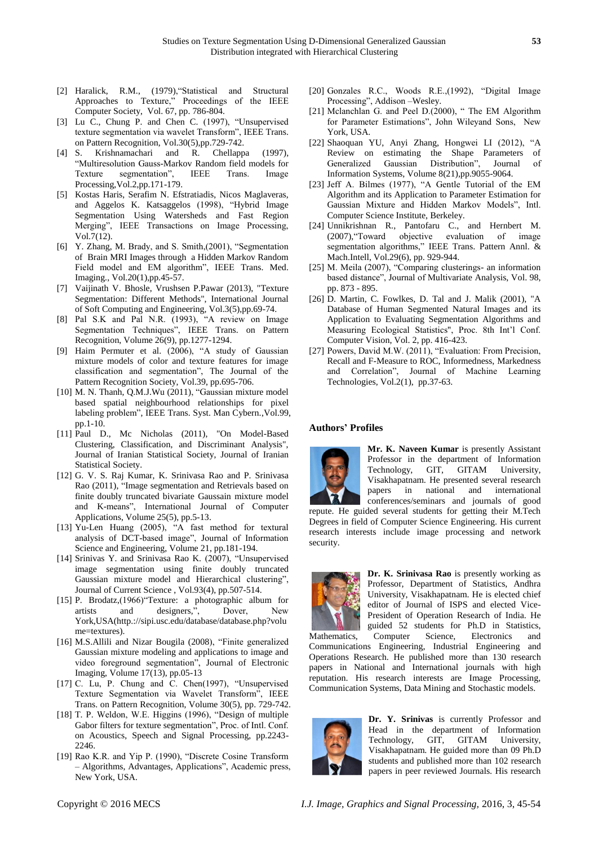- [2] Haralick, R.M., (1979), "Statistical and Structural Approaches to Texture," Proceedings of the IEEE Computer Society, Vol. 67, pp. 786-804.
- [3] Lu C., Chung P. and Chen C. (1997), "Unsupervised texture segmentation via wavelet Transform", IEEE Trans. on Pattern Recognition, Vol.30(5),pp.729-742.
- [4] S. Krishnamachari and R. Chellappa (1997), ―Multiresolution Gauss-Markov Random field models for Texture segmentation", IEEE Trans. Image Processing,Vol.2,pp.171-179.
- [5] Kostas Haris, Serafim N. Efstratiadis, Nicos Maglaveras, and Aggelos K. Katsaggelos (1998), "Hybrid Image Segmentation Using Watersheds and Fast Region Merging", IEEE Transactions on Image Processing, Vol.7(12).
- [6] Y. Zhang, M. Brady, and S. Smith,(2001), "Segmentation of Brain MRI Images through a Hidden Markov Random Field model and EM algorithm", IEEE Trans. Med. Imaging., Vol.20(1),pp.45-57.
- [7] Vaijinath V. Bhosle, Vrushsen P.Pawar (2013), "Texture Segmentation: Different Methods", International Journal of Soft Computing and Engineering, Vol.3(5),pp.69-74.
- [8] Pal S.K and Pal N.R.  $(1993)$ ,  $A$  review on Image Segmentation Techniques", IEEE Trans. on Pattern Recognition, Volume 26(9), pp.1277-1294.
- [9] Haim Permuter et al. (2006), "A study of Gaussian mixture models of color and texture features for image classification and segmentation", The Journal of the Pattern Recognition Society, Vol.39, pp.695-706.
- [10] M. N. Thanh, Q.M.J.Wu (2011), "Gaussian mixture model based spatial neighbourhood relationships for pixel labeling problem", IEEE Trans. Syst. Man Cybern., Vol.99, pp.1-10.
- [11] Paul D., Mc Nicholas (2011), "On Model-Based Clustering, Classification, and Discriminant Analysis", Journal of Iranian Statistical Society, Journal of Iranian Statistical Society.
- [12] G. V. S. Raj Kumar, K. Srinivasa Rao and P. Srinivasa Rao (2011), "Image segmentation and Retrievals based on finite doubly truncated bivariate Gaussain mixture model and K-means", International Journal of Computer Applications, Volume 25(5), pp.5-13.
- [13] Yu-Len Huang (2005), "A fast method for textural analysis of DCT-based image", Journal of Information Science and Engineering, Volume 21, pp.181-194.
- [14] Srinivas Y. and Srinivasa Rao K. (2007), "Unsupervised image segmentation using finite doubly truncated Gaussian mixture model and Hierarchical clustering", Journal of Current Science , Vol.93(4), pp.507-514.
- [15] P. Brodatz, $(1966)$  "Texture: a photographic album for artists and designers,", Dover, New York,USA(http.://sipi.usc.edu/database/database.php?volu me=textures).
- [16] M.S.Allili and Nizar Bougila (2008), "Finite generalized Gaussian mixture modeling and applications to image and video foreground segmentation", Journal of Electronic Imaging, Volume 17(13), pp.05-13
- [17] C. Lu, P. Chung and C. Chen(1997), "Unsupervised Texture Segmentation via Wavelet Transform", IEEE Trans. on Pattern Recognition, Volume 30(5), pp. 729-742.
- [18] T. P. Weldon, W.E. Higgins (1996), "Design of multiple Gabor filters for texture segmentation", Proc. of Intl. Conf. on Acoustics, Speech and Signal Processing, pp.2243- 2246.
- [19] Rao K.R. and Yip P. (1990), "Discrete Cosine Transform – Algorithms, Advantages, Applications", Academic press, New York, USA.
- [20] Gonzales R.C., Woods R.E., $(1992)$ , "Digital Image Processing", Addison –Wesley.
- [21] Mclanchlan G. and Peel D.(2000), " The EM Algorithm for Parameter Estimations", John Wileyand Sons, New York, USA.
- [22] Shaoquan YU, Anyi Zhang, Hongwei LI (2012), "A Review on estimating the Shape Parameters of Generalized Gaussian Distribution", Journal of Information Systems, Volume 8(21),pp.9055-9064.
- [23] Jeff A. Bilmes  $(1977)$ , "A Gentle Tutorial of the EM Algorithm and its Application to Parameter Estimation for Gaussian Mixture and Hidden Markov Models", Intl. Computer Science Institute, Berkeley.
- [24] Unnikrishnan R., Pantofaru C., and Hernbert M. (2007), "Toward objective evaluation of image segmentation algorithms," IEEE Trans. Pattern Annl. & Mach.Intell, Vol.29(6), pp. 929-944.
- [25] M. Meila (2007), "Comparing clusterings- an information based distance", Journal of Multivariate Analysis, Vol. 98, pp. 873 - 895.
- [26] D. Martin, C. Fowlkes, D. Tal and J. Malik (2001), "A Database of Human Segmented Natural Images and its Application to Evaluating Segmentation Algorithms and Measuring Ecological Statistics", Proc. 8th Int'l Conf. Computer Vision, Vol. 2, pp. 416-423.
- [27] Powers, David M.W. (2011), "Evaluation: From Precision, Recall and F-Measure to ROC, Informedness, Markedness and Correlation", Journal of Machine Learning Technologies, Vol.2(1), pp.37-63.

#### **Authors' Profiles**



**Mr. K. Naveen Kumar** is presently Assistant Professor in the department of Information Technology, GIT, GITAM University, Visakhapatnam. He presented several research papers in national and international conferences/seminars and journals of good

repute. He guided several students for getting their M.Tech Degrees in field of Computer Science Engineering. His current research interests include image processing and network security.



**Dr. K. Srinivasa Rao** is presently working as Professor, Department of Statistics, Andhra University, Visakhapatnam. He is elected chief editor of Journal of ISPS and elected Vice-President of Operation Research of India. He guided 52 students for Ph.D in Statistics, Mathematics, Computer Science, Electronics and

Communications Engineering, Industrial Engineering and Operations Research. He published more than 130 research papers in National and International journals with high reputation. His research interests are Image Processing, Communication Systems, Data Mining and Stochastic models.



**Dr. Y. Srinivas** is currently Professor and Head in the department of Information Technology, GIT, GITAM University, Visakhapatnam. He guided more than 09 Ph.D students and published more than 102 research papers in peer reviewed Journals. His research